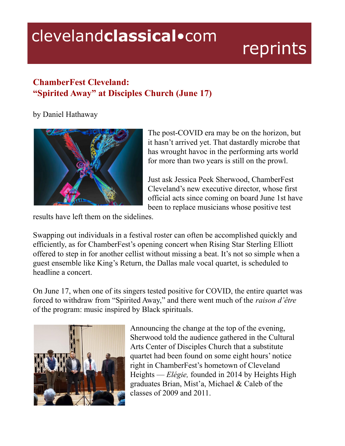## clevelandclassical.com

## reprints

## **ChamberFest Cleveland: "Spirited Away" at Disciples Church (June 17)**

by Daniel Hathaway



The post-COVID era may be on the horizon, but it hasn't arrived yet. That dastardly microbe that has wrought havoc in the performing arts world for more than two years is still on the prowl.

Just ask Jessica Peek Sherwood, ChamberFest Cleveland's new executive director, whose first official acts since coming on board June 1st have been to replace musicians whose positive test

results have left them on the sidelines.

Swapping out individuals in a festival roster can often be accomplished quickly and efficiently, as for ChamberFest's opening concert when Rising Star Sterling Elliott offered to step in for another cellist without missing a beat. It's not so simple when a guest ensemble like King's Return, the Dallas male vocal quartet, is scheduled to headline a concert.

On June 17, when one of its singers tested positive for COVID, the entire quartet was forced to withdraw from "Spirited Away," and there went much of the *raison d'être* of the program: music inspired by Black spirituals.



Announcing the change at the top of the evening, Sherwood told the audience gathered in the Cultural Arts Center of Disciples Church that a substitute quartet had been found on some eight hours' notice right in ChamberFest's hometown of Cleveland Heights — *Elégie,* founded in 2014 by Heights High graduates Brian, Mist'a, Michael & Caleb of the classes of 2009 and 2011.